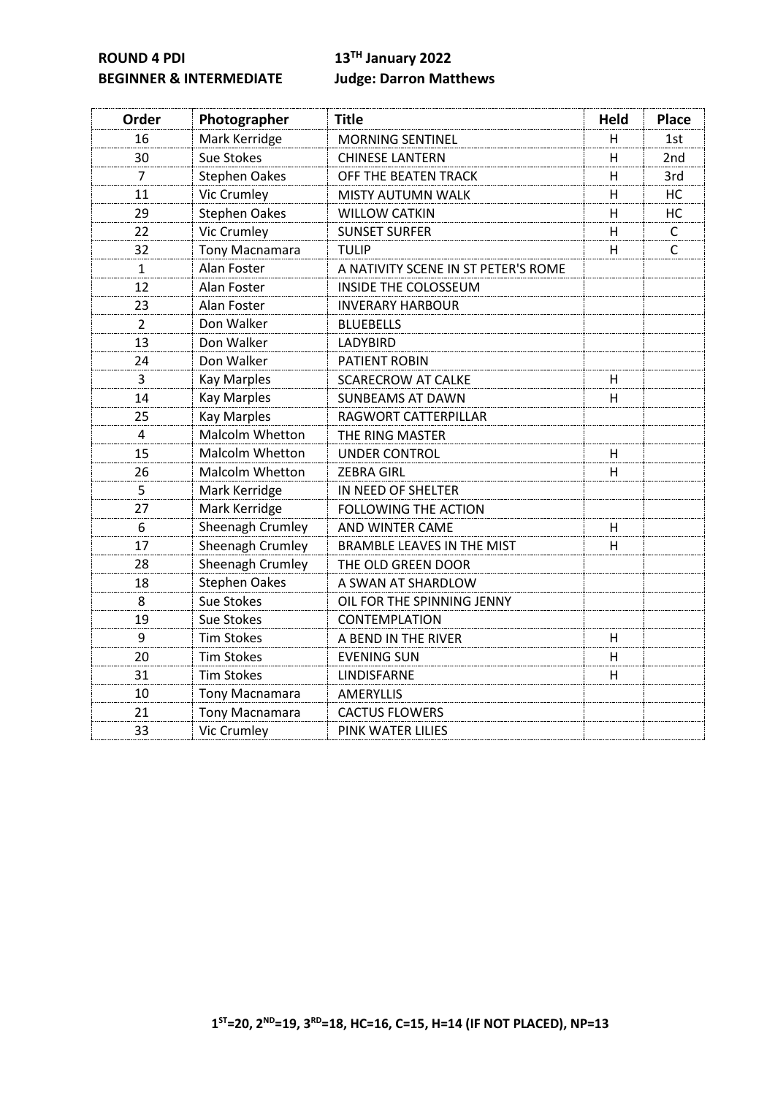**ROUND 4 PDI 13TH January 2022 BEGINNER & INTERMEDIATE Judge: Darron Matthews**

| Order          | Photographer           | <b>Title</b>                        | <b>Held</b> | <b>Place</b> |
|----------------|------------------------|-------------------------------------|-------------|--------------|
| 16             | Mark Kerridge          | <b>MORNING SENTINEL</b>             | н           | 1st          |
| 30             | Sue Stokes             | <b>CHINESE LANTERN</b>              | н           | 2nd          |
| 7              | Stephen Oakes          | OFF THE BEATEN TRACK                | H           | 3rd          |
| 11             | Vic Crumley            | <b>MISTY AUTUMN WALK</b>            | H           | HC           |
| 29             | <b>Stephen Oakes</b>   | <b>WILLOW CATKIN</b>                | H           | HC           |
| 22             | <b>Vic Crumley</b>     | <b>SUNSET SURFER</b>                | H           | $\mathsf{C}$ |
| 32             | <b>Tony Macnamara</b>  | <b>TULIP</b>                        | H           | $\mathsf{C}$ |
| 1              | Alan Foster            | A NATIVITY SCENE IN ST PETER'S ROME |             |              |
| 12             | Alan Foster            | INSIDE THE COLOSSEUM                |             |              |
| 23             | Alan Foster            | <b>INVERARY HARBOUR</b>             |             |              |
| $\overline{2}$ | Don Walker             | <b>BLUEBELLS</b>                    |             |              |
| 13             | Don Walker             | LADYBIRD                            |             |              |
| 24             | Don Walker             | <b>PATIENT ROBIN</b>                |             |              |
| 3              | <b>Kay Marples</b>     | <b>SCARECROW AT CALKE</b>           | H           |              |
| 14             | <b>Kay Marples</b>     | <b>SUNBEAMS AT DAWN</b>             | H           |              |
| 25             | <b>Kay Marples</b>     | RAGWORT CATTERPILLAR                |             |              |
| 4              | Malcolm Whetton        | THE RING MASTER                     |             |              |
| 15             | <b>Malcolm Whetton</b> | <b>UNDER CONTROL</b>                | H           |              |
| 26             | <b>Malcolm Whetton</b> | <b>ZEBRA GIRL</b><br>H              |             |              |
| 5              | Mark Kerridge          | IN NEED OF SHELTER                  |             |              |
| 27             | Mark Kerridge          | <b>FOLLOWING THE ACTION</b>         |             |              |
| 6              | Sheenagh Crumley       | AND WINTER CAME<br>H                |             |              |
| 17             | Sheenagh Crumley       | <b>BRAMBLE LEAVES IN THE MIST</b>   | H           |              |
| 28             | Sheenagh Crumley       | THE OLD GREEN DOOR                  |             |              |
| 18             | <b>Stephen Oakes</b>   | A SWAN AT SHARDLOW                  |             |              |
| 8              | Sue Stokes             | OIL FOR THE SPINNING JENNY          |             |              |
| 19             | Sue Stokes             | CONTEMPLATION                       |             |              |
| 9              | <b>Tim Stokes</b>      | A BEND IN THE RIVER                 | н           |              |
| 20             | <b>Tim Stokes</b>      | <b>EVENING SUN</b>                  | H           |              |
| 31             | <b>Tim Stokes</b>      | LINDISFARNE                         | H           |              |
| 10             | Tony Macnamara         | <b>AMERYLLIS</b>                    |             |              |
| 21             | Tony Macnamara         | <b>CACTUS FLOWERS</b>               |             |              |
| 33             | Vic Crumley            | PINK WATER LILIES                   |             |              |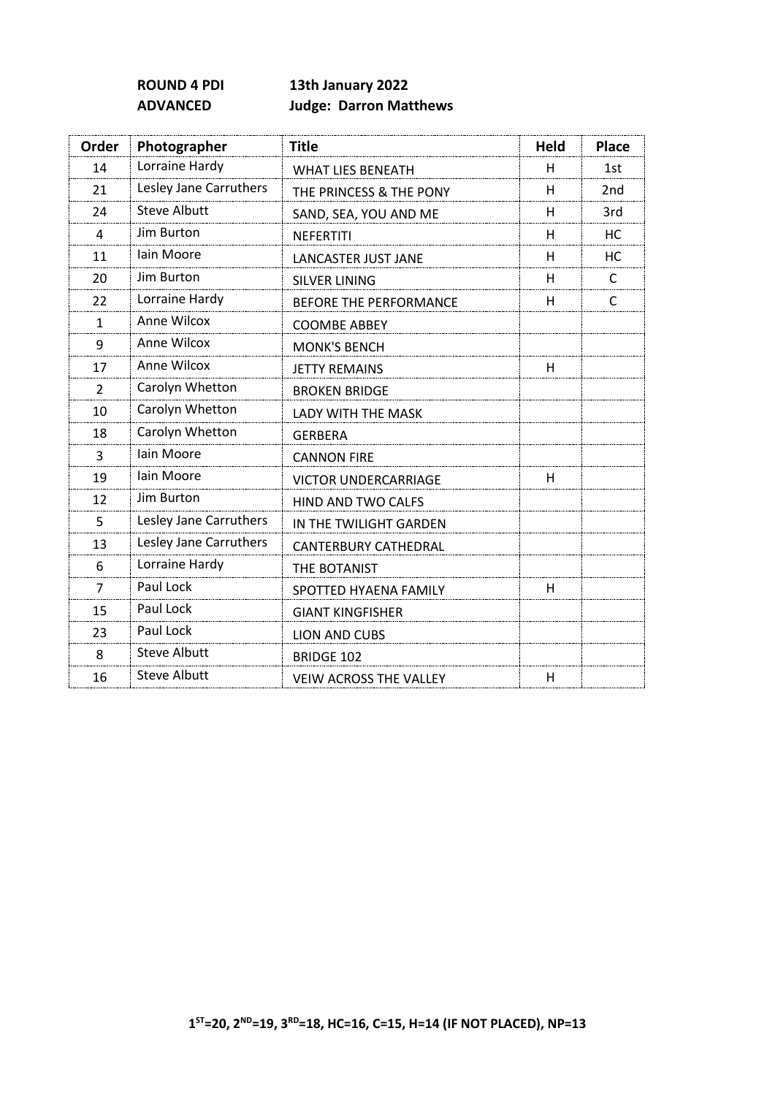# **ROUND 4 PDI 13th January 2022 ADVANCED Judge: Darron Matthews**

| Order        | Photographer           | <b>Title</b>                  | <b>Held</b> | <b>Place</b>    |
|--------------|------------------------|-------------------------------|-------------|-----------------|
| 14           | Lorraine Hardy         | <b>WHAT LIES BENEATH</b>      | H           | 1st             |
| 21           | Lesley Jane Carruthers | THE PRINCESS & THE PONY       | H           | 2 <sub>nd</sub> |
| 24           | <b>Steve Albutt</b>    | SAND, SEA, YOU AND ME         | H           | 3rd             |
| 4            | Jim Burton             | <b>NEFERTITI</b>              | H           | HC.             |
| 11           | Iain Moore             | LANCASTER JUST JANE           | H           | HC              |
| 20           | Jim Burton             | <b>SILVER LINING</b>          | H           | C               |
| 22           | Lorraine Hardy         | <b>BEFORE THE PERFORMANCE</b> | н           | C               |
| $\mathbf{1}$ | Anne Wilcox            | <b>COOMBE ABBEY</b>           |             |                 |
| 9            | Anne Wilcox            | <b>MONK'S BENCH</b>           |             |                 |
| 17           | Anne Wilcox            | <b>JETTY REMAINS</b>          | н           |                 |
| 2            | Carolyn Whetton        | <b>BROKEN BRIDGE</b>          |             |                 |
| 10           | Carolyn Whetton        | <b>LADY WITH THE MASK</b>     |             |                 |
| 18           | Carolyn Whetton        | <b>GERBERA</b>                |             |                 |
| 3            | Iain Moore             | <b>CANNON FIRE</b>            |             |                 |
| 19           | Iain Moore             | <b>VICTOR UNDERCARRIAGE</b>   | H           |                 |
| 12           | Jim Burton             | HIND AND TWO CALFS            |             |                 |
| 5            | Lesley Jane Carruthers | IN THE TWILIGHT GARDEN        |             |                 |
| 13           | Lesley Jane Carruthers | <b>CANTERBURY CATHEDRAL</b>   |             |                 |
| 6            | Lorraine Hardy         | THE BOTANIST                  |             |                 |
| 7            | Paul Lock              | SPOTTED HYAENA FAMILY         | H           |                 |
| 15           | Paul Lock              | <b>GIANT KINGFISHER</b>       |             |                 |
| 23           | Paul Lock              | <b>LION AND CUBS</b>          |             |                 |
| 8            | <b>Steve Albutt</b>    | <b>BRIDGE 102</b>             |             |                 |
| 16           | <b>Steve Albutt</b>    | <b>VEIW ACROSS THE VALLEY</b> | H           |                 |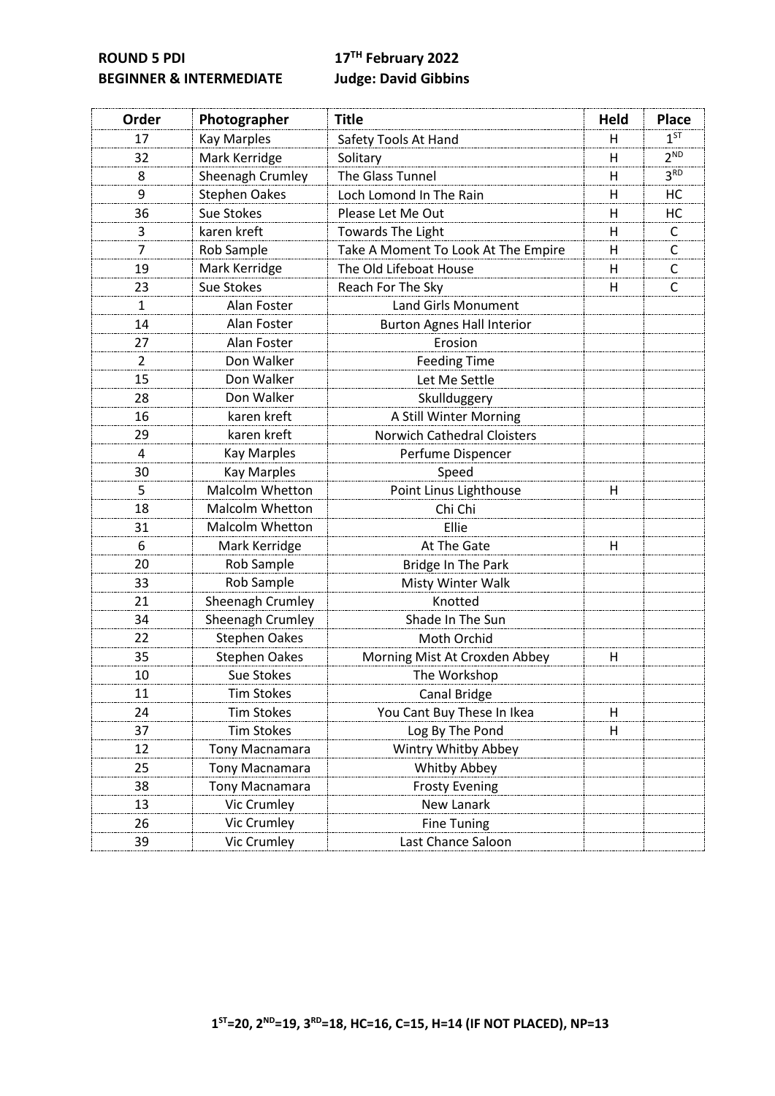**ROUND 5 PDI 17TH February 2022 BEGINNER & INTERMEDIATE Judge: David Gibbins**

| Order          | Photographer           | <b>Title</b>                        | Held | <b>Place</b>    |
|----------------|------------------------|-------------------------------------|------|-----------------|
| 17             | <b>Kay Marples</b>     | Safety Tools At Hand                | н    | $1^{ST}$        |
| 32             | Mark Kerridge          | Solitary                            | H    | 2 <sup>ND</sup> |
| 8              | Sheenagh Crumley       | The Glass Tunnel                    | Н    | 3 <sup>RD</sup> |
| 9              | <b>Stephen Oakes</b>   | Loch Lomond In The Rain             | н    | HC              |
| 36             | Sue Stokes             | Please Let Me Out                   | H    | HC              |
| 3              | karen kreft            | Towards The Light                   | H    | C               |
| 7              | Rob Sample             | Take A Moment To Look At The Empire | H    | C               |
| 19             | Mark Kerridge          | The Old Lifeboat House              | H    | C               |
| 23             | Sue Stokes             | Reach For The Sky                   | н    | C               |
| $\mathbf{1}$   | Alan Foster            | <b>Land Girls Monument</b>          |      |                 |
| 14             | Alan Foster            | <b>Burton Agnes Hall Interior</b>   |      |                 |
| 27             | Alan Foster            | Erosion                             |      |                 |
| $\overline{2}$ | Don Walker             | <b>Feeding Time</b>                 |      |                 |
| 15             | Don Walker             | Let Me Settle                       |      |                 |
| 28             | Don Walker             | Skullduggery                        |      |                 |
| 16             | karen kreft            | A Still Winter Morning              |      |                 |
| 29             | karen kreft            | <b>Norwich Cathedral Cloisters</b>  |      |                 |
| 4              | <b>Kay Marples</b>     | Perfume Dispencer                   |      |                 |
| 30             | <b>Kay Marples</b>     | Speed                               |      |                 |
| 5              | Malcolm Whetton        | Point Linus Lighthouse              | H    |                 |
| 18             | Malcolm Whetton        | Chi Chi                             |      |                 |
| 31             | <b>Malcolm Whetton</b> | Ellie                               |      |                 |
| 6              | Mark Kerridge          | At The Gate                         | H    |                 |
| 20             | Rob Sample             | Bridge In The Park                  |      |                 |
| 33             | Rob Sample             | Misty Winter Walk                   |      |                 |
| 21             | Sheenagh Crumley       | Knotted                             |      |                 |
| 34             | Sheenagh Crumley       | Shade In The Sun                    |      |                 |
| 22             | <b>Stephen Oakes</b>   | Moth Orchid                         |      |                 |
| 35             | <b>Stephen Oakes</b>   | Morning Mist At Croxden Abbey       | н    |                 |
| 10             | Sue Stokes             | The Workshop                        |      |                 |
| 11             | Tim Stokes             | Canal Bridge                        |      |                 |
| 24             | <b>Tim Stokes</b>      | You Cant Buy These In Ikea          | Н    |                 |
| 37             | <b>Tim Stokes</b>      | Log By The Pond                     | н    |                 |
| 12             | Tony Macnamara         | Wintry Whitby Abbey                 |      |                 |
| 25             | <b>Tony Macnamara</b>  | Whitby Abbey                        |      |                 |
| 38             | Tony Macnamara         | <b>Frosty Evening</b>               |      |                 |
| 13             | Vic Crumley            | New Lanark                          |      |                 |
| 26             | Vic Crumley            | <b>Fine Tuning</b>                  |      |                 |
| 39             | Vic Crumley            | Last Chance Saloon                  |      |                 |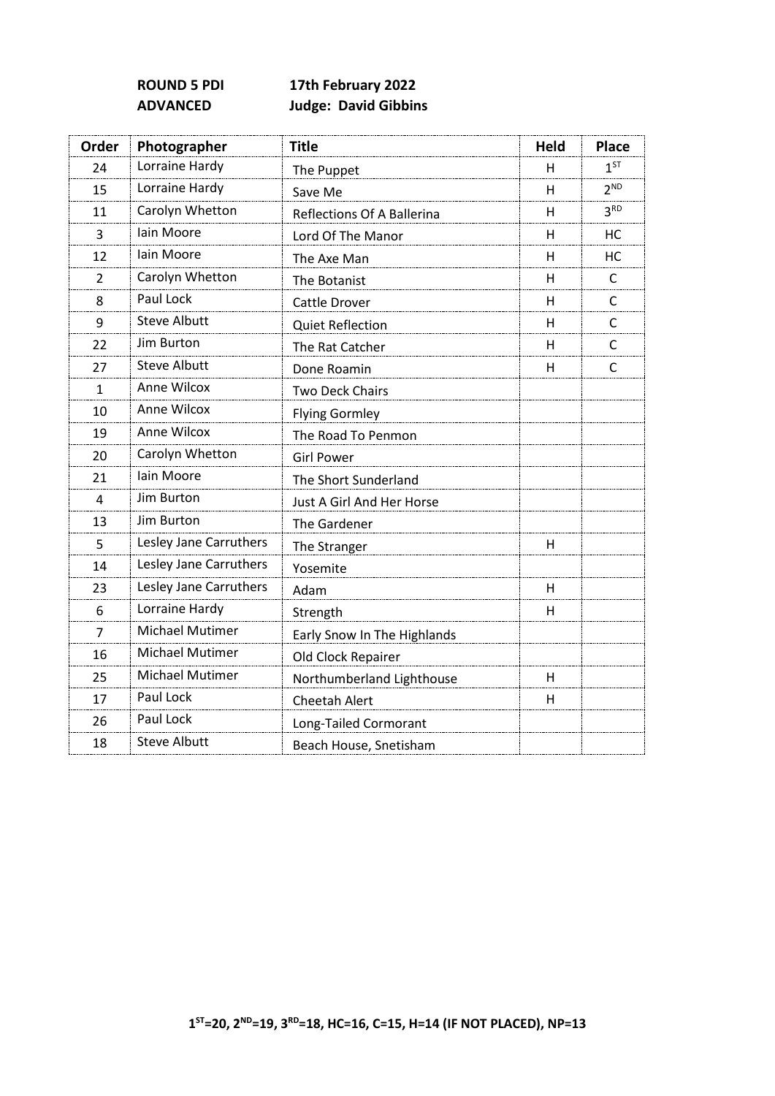# **ROUND 5 PDI 17th February 2022 ADVANCED Judge: David Gibbins**

| Order        | Photographer           | <b>Title</b>                | <b>Held</b>  | <b>Place</b>    |
|--------------|------------------------|-----------------------------|--------------|-----------------|
| 24           | Lorraine Hardy         | The Puppet                  | н            | 1 <sup>ST</sup> |
| 15           | Lorraine Hardy         | Save Me                     | н            | 2 <sup>ND</sup> |
| 11           | Carolyn Whetton        | Reflections Of A Ballerina  | н            | 3 <sup>RD</sup> |
| 3            | Iain Moore             | Lord Of The Manor           | н            | HC              |
| 12           | Iain Moore             | The Axe Man                 | н            | HC              |
| 2            | Carolyn Whetton        | The Botanist                | н            | C               |
| 8            | Paul Lock              | Cattle Drover               | H            | C               |
| 9            | <b>Steve Albutt</b>    | <b>Quiet Reflection</b>     | н            | C               |
| 22           | Jim Burton             | The Rat Catcher             | н            | C               |
| 27           | <b>Steve Albutt</b>    | Done Roamin                 | H            | C               |
| $\mathbf{1}$ | Anne Wilcox            | <b>Two Deck Chairs</b>      |              |                 |
| 10           | Anne Wilcox            | <b>Flying Gormley</b>       |              |                 |
| 19           | Anne Wilcox            | The Road To Penmon          |              |                 |
| 20           | Carolyn Whetton        | <b>Girl Power</b>           |              |                 |
| 21           | lain Moore             | The Short Sunderland        |              |                 |
| 4            | Jim Burton             | Just A Girl And Her Horse   |              |                 |
| 13           | Jim Burton             | The Gardener                |              |                 |
| 5            | Lesley Jane Carruthers | The Stranger                | H            |                 |
| 14           | Lesley Jane Carruthers | Yosemite                    |              |                 |
| 23           | Lesley Jane Carruthers | Adam                        | н            |                 |
| 6            | Lorraine Hardy         | Strength                    | Н            |                 |
| 7            | <b>Michael Mutimer</b> | Early Snow In The Highlands |              |                 |
| 16           | Michael Mutimer        | Old Clock Repairer          |              |                 |
| 25           | Michael Mutimer        | Northumberland Lighthouse   | н            |                 |
| 17           | Paul Lock              | Cheetah Alert               | $\mathsf{H}$ |                 |
| 26           | Paul Lock              | Long-Tailed Cormorant       |              |                 |
| 18           | <b>Steve Albutt</b>    | Beach House, Snetisham      |              |                 |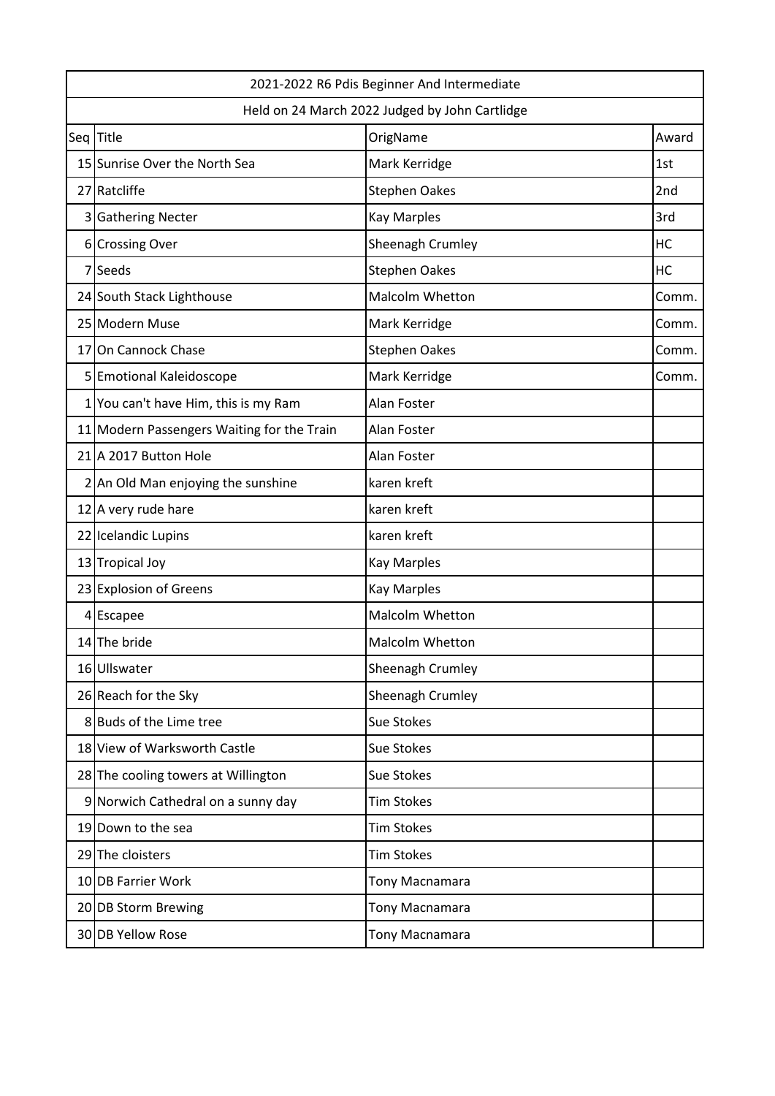| 2021-2022 R6 Pdis Beginner And Intermediate |                                                |                        |       |  |  |
|---------------------------------------------|------------------------------------------------|------------------------|-------|--|--|
|                                             | Held on 24 March 2022 Judged by John Cartlidge |                        |       |  |  |
|                                             | Seq Title                                      | OrigName               | Award |  |  |
|                                             | 15 Sunrise Over the North Sea                  | Mark Kerridge          | 1st   |  |  |
|                                             | 27 Ratcliffe                                   | <b>Stephen Oakes</b>   | 2nd   |  |  |
|                                             | 3 Gathering Necter                             | <b>Kay Marples</b>     | 3rd   |  |  |
|                                             | 6 Crossing Over                                | Sheenagh Crumley       | HC    |  |  |
|                                             | 7 Seeds                                        | <b>Stephen Oakes</b>   | HC    |  |  |
|                                             | 24 South Stack Lighthouse                      | Malcolm Whetton        | Comm. |  |  |
|                                             | 25 Modern Muse                                 | Mark Kerridge          | Comm. |  |  |
|                                             | 17 On Cannock Chase                            | <b>Stephen Oakes</b>   | Comm. |  |  |
| 5                                           | <b>Emotional Kaleidoscope</b>                  | Mark Kerridge          | Comm. |  |  |
|                                             | 1 You can't have Him, this is my Ram           | Alan Foster            |       |  |  |
|                                             | 11 Modern Passengers Waiting for the Train     | Alan Foster            |       |  |  |
|                                             | 21 A 2017 Button Hole                          | Alan Foster            |       |  |  |
|                                             | 2 An Old Man enjoying the sunshine             | karen kreft            |       |  |  |
|                                             | 12 A very rude hare                            | karen kreft            |       |  |  |
|                                             | 22 Icelandic Lupins                            | karen kreft            |       |  |  |
|                                             | 13 Tropical Joy                                | <b>Kay Marples</b>     |       |  |  |
|                                             | 23 Explosion of Greens                         | <b>Kay Marples</b>     |       |  |  |
|                                             | 4 Escapee                                      | Malcolm Whetton        |       |  |  |
|                                             | 14 The bride                                   | <b>Malcolm Whetton</b> |       |  |  |
|                                             | 16 Ullswater                                   | Sheenagh Crumley       |       |  |  |
|                                             | 26 Reach for the Sky                           | Sheenagh Crumley       |       |  |  |
|                                             | 8 Buds of the Lime tree                        | <b>Sue Stokes</b>      |       |  |  |
|                                             | 18 View of Warksworth Castle                   | <b>Sue Stokes</b>      |       |  |  |
|                                             | 28 The cooling towers at Willington            | Sue Stokes             |       |  |  |
|                                             | 9 Norwich Cathedral on a sunny day             | <b>Tim Stokes</b>      |       |  |  |
|                                             | 19 Down to the sea                             | <b>Tim Stokes</b>      |       |  |  |
|                                             | 29 The cloisters                               | <b>Tim Stokes</b>      |       |  |  |
|                                             | 10 DB Farrier Work                             | Tony Macnamara         |       |  |  |
|                                             | 20 DB Storm Brewing                            | Tony Macnamara         |       |  |  |
|                                             | 30 DB Yellow Rose                              | Tony Macnamara         |       |  |  |